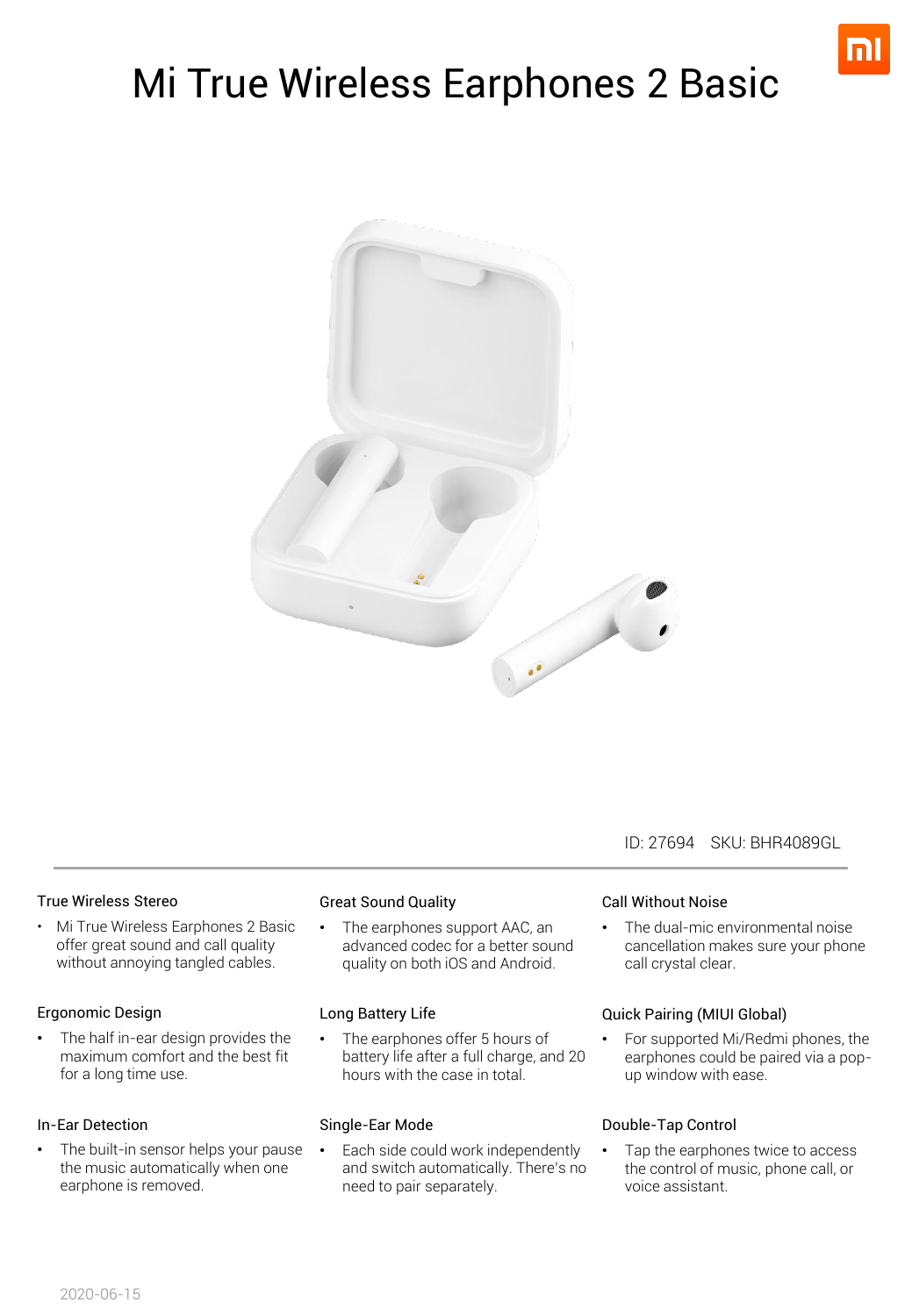

# Mi True Wireless Earphones 2 Basic



#### ID: 27694 SKU: BHR4089GL

#### True Wireless Stereo

• Mi True Wireless Earphones 2 Basic offer great sound and call quality without annoying tangled cables.

#### Ergonomic Design

• The half in-ear design provides the maximum comfort and the best fit for a long time use.

#### In-Ear Detection

The built-in sensor helps your pause the music automatically when one earphone is removed.

#### Great Sound Quality

• The earphones support AAC, an advanced codec for a better sound quality on both iOS and Android.

#### Long Battery Life

The earphones offer 5 hours of battery life after a full charge, and 20 hours with the case in total.

#### Single-Ear Mode

Each side could work independently and switch automatically. There's no need to pair separately.

#### Call Without Noise

• The dual-mic environmental noise cancellation makes sure your phone call crystal clear.

#### Quick Pairing (MIUI Global)

• For supported Mi/Redmi phones, the earphones could be paired via a popup window with ease.

#### Double-Tap Control

• Tap the earphones twice to access the control of music, phone call, or voice assistant.